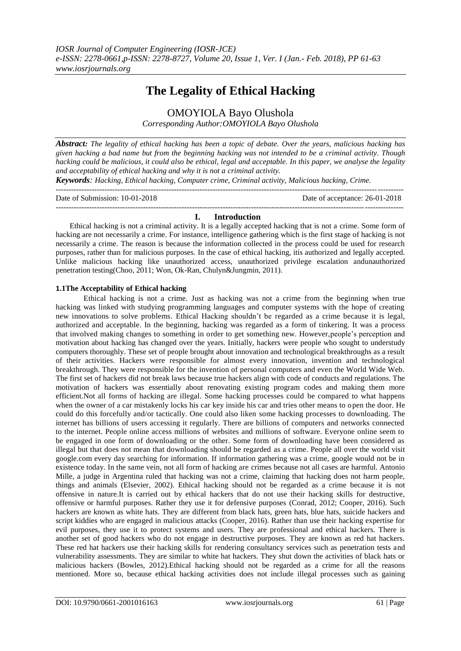# **The Legality of Ethical Hacking**

OMOYIOLA Bayo Olushola

*Corresponding Author:OMOYIOLA Bayo Olushola*

*Abstract: The legality of ethical hacking has been a topic of debate. Over the years, malicious hacking has given hacking a bad name but from the beginning hacking was not intended to be a criminal activity. Though hacking could be malicious, it could also be ethical, legal and acceptable. In this paper, we analyse the legality and acceptability of ethical hacking and why it is not a criminal activity.*

*Keywords: Hacking, Ethical hacking, Computer crime, Criminal activity, Malicious hacking, Crime.* ---------------------------------------------------------------------------------------------------------------------------------------

| Date of Submission: 10-01-2018 | Date of acceptance: 26-01-2018 |
|--------------------------------|--------------------------------|
|                                |                                |

# **I. Introduction**

Ethical hacking is not a criminal activity. It is a legally accepted hacking that is not a crime. Some form of hacking are not necessarily a crime. For instance, intelligence gathering which is the first stage of hacking is not necessarily a crime. The reason is because the information collected in the process could be used for research purposes, rather than for malicious purposes. In the case of ethical hacking, itis authorized and legally accepted. Unlike malicious hacking like unauthorized access, unauthorized privilege escalation andunauthorized penetration testing(Choo, 2011; Won, Ok-Ran, Chulyn&Jungmin, 2011).

# **1.1The Acceptability of Ethical hacking**

Ethical hacking is not a crime. Just as hacking was not a crime from the beginning when true hacking was linked with studying programming languages and computer systems with the hope of creating new innovations to solve problems. Ethical Hacking shouldn't be regarded as a crime because it is legal, authorized and acceptable. In the beginning, hacking was regarded as a form of tinkering. It was a process that involved making changes to something in order to get something new. However,people's perception and motivation about hacking has changed over the years. Initially, hackers were people who sought to understudy computers thoroughly. These set of people brought about innovation and technological breakthroughs as a result of their activities. Hackers were responsible for almost every innovation, invention and technological breakthrough. They were responsible for the invention of personal computers and even the World Wide Web. The first set of hackers did not break laws because true hackers align with code of conducts and regulations. The motivation of hackers was essentially about renovating existing program codes and making them more efficient.Not all forms of hacking are illegal. Some hacking processes could be compared to what happens when the owner of a car mistakenly locks his car key inside his car and tries other means to open the door. He could do this forcefully and/or tactically. One could also liken some hacking processes to downloading. The internet has billions of users accessing it regularly. There are billions of computers and networks connected to the internet. People online access millions of websites and millions of software. Everyone online seem to be engaged in one form of downloading or the other. Some form of downloading have been considered as illegal but that does not mean that downloading should be regarded as a crime. People all over the world visit google.com every day searching for information. If information gathering was a crime, google would not be in existence today. In the same vein, not all form of hacking are crimes because not all cases are harmful. Antonio Mille, a judge in Argentina ruled that hacking was not a crime, claiming that hacking does not harm people, things and animals (Elsevier, 2002). Ethical hacking should not be regarded as a crime because it is not offensive in nature.It is carried out by ethical hackers that do not use their hacking skills for destructive, offensive or harmful purposes. Rather they use it for defensive purposes (Conrad, 2012; Cooper, 2016). Such hackers are known as white hats. They are different from black hats, green hats, blue hats, suicide hackers and script kiddies who are engaged in malicious attacks (Cooper, 2016). Rather than use their hacking expertise for evil purposes, they use it to protect systems and users. They are professional and ethical hackers. There is another set of good hackers who do not engage in destructive purposes. They are known as red hat hackers. These red hat hackers use their hacking skills for rendering consultancy services such as penetration tests and vulnerability assessments. They are similar to white hat hackers. They shut down the activities of black hats or malicious hackers (Bowles, 2012).Ethical hacking should not be regarded as a crime for all the reasons mentioned. More so, because ethical hacking activities does not include illegal processes such as gaining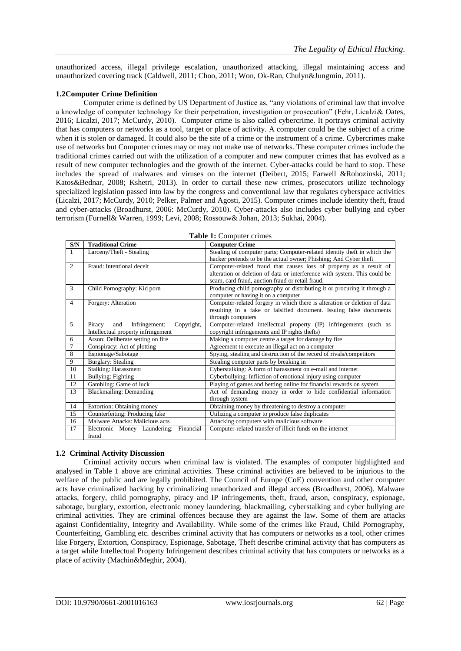unauthorized access, illegal privilege escalation, unauthorized attacking, illegal maintaining access and unauthorized covering track (Caldwell, 2011; Choo, 2011; Won, Ok-Ran, Chulyn&Jungmin, 2011).

## **1.2Computer Crime Definition**

Computer crime is defined by US Department of Justice as, "any violations of criminal law that involve a knowledge of computer technology for their perpetration, investigation or prosecution" (Fehr, Licalzi& Oates, 2016; Licalzi, 2017; McCurdy, 2010). Computer crime is also called cybercrime. It portrays criminal activity that has computers or networks as a tool, target or place of activity. A computer could be the subject of a crime when it is stolen or damaged. It could also be the site of a crime or the instrument of a crime. Cybercrimes make use of networks but Computer crimes may or may not make use of networks. These computer crimes include the traditional crimes carried out with the utilization of a computer and new computer crimes that has evolved as a result of new computer technologies and the growth of the internet. Cyber-attacks could be hard to stop. These includes the spread of malwares and viruses on the internet (Deibert, 2015; Farwell &Rohozinski, 2011; Katos&Bednar, 2008; Kshetri, 2013). In order to curtail these new crimes, prosecutors utilize technology specialized legislation passed into law by the congress and conventional law that regulates cyberspace activities (Licalzi, 2017; McCurdy, 2010; Pelker, Palmer and Agosti, 2015). Computer crimes include identity theft, fraud and cyber-attacks (Broadhurst, 2006: McCurdy, 2010). Cyber-attacks also includes cyber bullying and cyber terrorism (Furnell& Warren, 1999; Levi, 2008; Rossouw& Johan, 2013; Sukhai, 2004).

| $\mathbf{S/N}$ | $\frac{1}{2}$<br><b>Traditional Crime</b><br><b>Computer Crime</b> |                                                                           |  |  |  |  |
|----------------|--------------------------------------------------------------------|---------------------------------------------------------------------------|--|--|--|--|
| $\mathbf{1}$   | Larceny/Theft - Stealing                                           | Stealing of computer parts; Computer-related identity theft in which the  |  |  |  |  |
|                |                                                                    | hacker pretends to be the actual owner; Phishing; And Cyber theft         |  |  |  |  |
| 2              | Fraud: Intentional deceit                                          | Computer-related fraud that causes loss of property as a result of        |  |  |  |  |
|                |                                                                    | alteration or deletion of data or interference with system. This could be |  |  |  |  |
|                |                                                                    | scam, card fraud, auction fraud or retail fraud.                          |  |  |  |  |
| 3              | Child Pornography: Kid porn                                        | Producing child pornography or distributing it or procuring it through a  |  |  |  |  |
|                |                                                                    |                                                                           |  |  |  |  |
| $\overline{4}$ |                                                                    | computer or having it on a computer                                       |  |  |  |  |
|                | Forgery: Alteration                                                | Computer-related forgery in which there is alteration or deletion of data |  |  |  |  |
|                |                                                                    | resulting in a fake or falsified document. Issuing false documents        |  |  |  |  |
| 5              | and                                                                | through computers                                                         |  |  |  |  |
|                | Infringement:<br>Copyright,<br>Piracy                              | Computer-related intellectual property (IP) infringements (such as        |  |  |  |  |
|                | Intellectual property infringement                                 | copyright infringements and IP rights thefts)                             |  |  |  |  |
| 6              | Arson: Deliberate setting on fire                                  | Making a computer centre a target for damage by fire                      |  |  |  |  |
| $\overline{7}$ | Conspiracy: Act of plotting                                        | Agreement to execute an illegal act on a computer                         |  |  |  |  |
| $\overline{8}$ | Espionage/Sabotage                                                 | Spying, stealing and destruction of the record of rivals/competitors      |  |  |  |  |
| $\overline{9}$ | <b>Burglary: Stealing</b>                                          | Stealing computer parts by breaking in                                    |  |  |  |  |
| 10             | <b>Stalking: Harassment</b>                                        | Cyberstalking: A form of harassment on e-mail and internet                |  |  |  |  |
| 11             | <b>Bullying: Fighting</b>                                          | Cyberbullying: Infliction of emotional injury using computer              |  |  |  |  |
| 12             | Gambling: Game of luck                                             | Playing of games and betting online for financial rewards on system       |  |  |  |  |
| 13             | <b>Blackmailing: Demanding</b>                                     | Act of demanding money in order to hide confidential information          |  |  |  |  |
|                |                                                                    | through system                                                            |  |  |  |  |
| 14             | Extortion: Obtaining money                                         | Obtaining money by threatening to destroy a computer                      |  |  |  |  |
| 15             | Counterfeiting: Producing fake                                     | Utilizing a computer to produce false duplicates                          |  |  |  |  |
| 16             | Malware Attacks: Malicious acts                                    | Attacking computers with malicious software                               |  |  |  |  |
| 17             | Electronic Money Laundering: Financial                             | Computer-related transfer of illicit funds on the internet                |  |  |  |  |
|                | fraud                                                              |                                                                           |  |  |  |  |

|  | Table 1: Computer crimes |  |
|--|--------------------------|--|
|  |                          |  |

## **1.2 Criminal Activity Discussion**

Criminal activity occurs when criminal law is violated. The examples of computer highlighted and analysed in Table 1 above are criminal activities. These criminal activities are believed to be injurious to the welfare of the public and are legally prohibited. The Council of Europe (CoE) convention and other computer acts have criminalized hacking by criminalizing unauthorized and illegal access (Broadhurst, 2006). Malware attacks, forgery, child pornography, piracy and IP infringements, theft, fraud, arson, conspiracy, espionage, sabotage, burglary, extortion, electronic money laundering, blackmailing, cyberstalking and cyber bullying are criminal activities. They are criminal offences because they are against the law. Some of them are attacks against Confidentiality, Integrity and Availability. While some of the crimes like Fraud, Child Pornography, Counterfeiting, Gambling etc. describes criminal activity that has computers or networks as a tool, other crimes like Forgery, Extortion, Conspiracy, Espionage, Sabotage, Theft describe criminal activity that has computers as a target while Intellectual Property Infringement describes criminal activity that has computers or networks as a place of activity (Machin&Meghir, 2004).